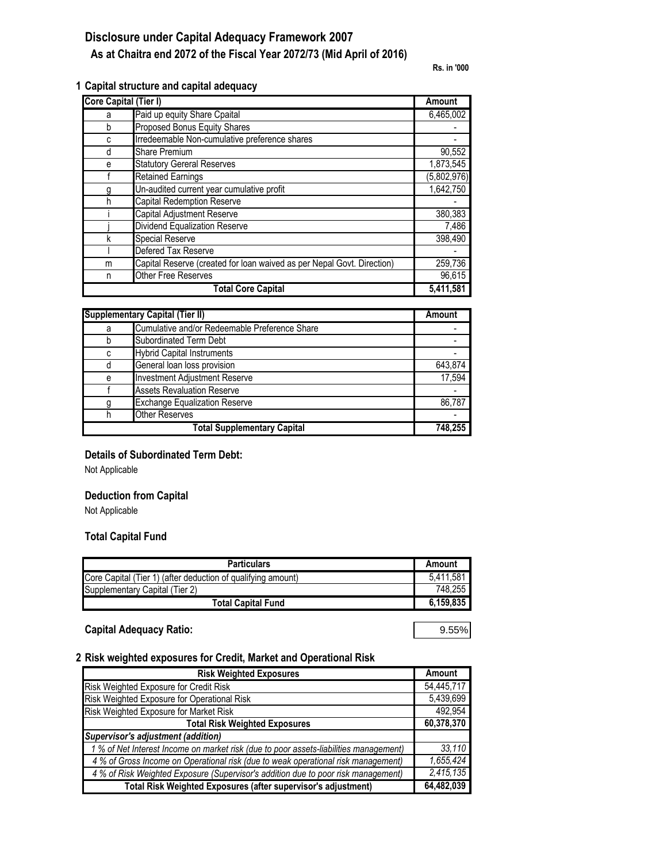# **Disclosure under Capital Adequacy Framework 2007**

# **As at Chaitra end 2072 of the Fiscal Year 2072/73 (Mid April of 2016)**

**Rs. in '000**

#### **1 Capital structure and capital adequacy**

| <b>Core Capital (Tier I)</b> |                                                                        | Amount                 |
|------------------------------|------------------------------------------------------------------------|------------------------|
| а                            | Paid up equity Share Cpaital                                           | 6,465,002              |
| b                            | Proposed Bonus Equity Shares                                           |                        |
| C                            | Irredeemable Non-cumulative preference shares                          |                        |
| d                            | <b>Share Premium</b>                                                   | 90,552                 |
| е                            | <b>Statutory Gereral Reserves</b>                                      | $\overline{1,873,545}$ |
|                              | <b>Retained Earnings</b>                                               | (5,802,976)            |
|                              | Un-audited current year cumulative profit                              | 1,642,750              |
| h                            | <b>Capital Redemption Reserve</b>                                      |                        |
|                              | <b>Capital Adjustment Reserve</b>                                      | 380,383                |
|                              | Dividend Equalization Reserve                                          | 7,486                  |
| k                            | Special Reserve                                                        | 398,490                |
|                              | Defered Tax Reserve                                                    |                        |
| m                            | Capital Reserve (created for loan waived as per Nepal Govt. Direction) | 259,736                |
| n                            | Other Free Reserves                                                    | 96,615                 |
|                              | <b>Total Core Capital</b>                                              | 5,411,581              |

| <b>Supplementary Capital (Tier II)</b> |                                               | Amount  |
|----------------------------------------|-----------------------------------------------|---------|
| a                                      | Cumulative and/or Redeemable Preference Share |         |
|                                        | <b>Subordinated Term Debt</b>                 |         |
| c                                      | <b>Hybrid Capital Instruments</b>             |         |
| d                                      | General loan loss provision                   | 643.874 |
| e                                      | <b>Investment Adjustment Reserve</b>          | 17.594  |
|                                        | <b>Assets Revaluation Reserve</b>             |         |
| g                                      | <b>Exchange Equalization Reserve</b>          | 86.787  |
|                                        | <b>Other Reserves</b>                         |         |
|                                        | <b>Total Supplementary Capital</b>            | 748.255 |

### **Details of Subordinated Term Debt:**

Not Applicable

### **Deduction from Capital**

Not Applicable

### **Total Capital Fund**

| <b>Particulars</b>                                           | Amount    |
|--------------------------------------------------------------|-----------|
| Core Capital (Tier 1) (after deduction of qualifying amount) | 5.411.581 |
| Supplementary Capital (Tier 2)                               | 748,255   |
| Total Capital Fund                                           | 6,159,835 |

### **Capital Adequacy Ratio:** 9.55%

#### **2 Risk weighted exposures for Credit, Market and Operational Risk**

| <b>Risk Weighted Exposures</b>                                                        | Amount     |
|---------------------------------------------------------------------------------------|------------|
| Risk Weighted Exposure for Credit Risk                                                | 54.445.717 |
| Risk Weighted Exposure for Operational Risk                                           | 5,439,699  |
| Risk Weighted Exposure for Market Risk                                                | 492,954    |
| <b>Total Risk Weighted Exposures</b>                                                  | 60,378,370 |
| <b>Supervisor's adjustment (addition)</b>                                             |            |
| 1 % of Net Interest Income on market risk (due to poor assets-liabilities management) | 33,110     |
| 4 % of Gross Income on Operational risk (due to weak operational risk management)     | 1,655,424  |
| 4 % of Risk Weighted Exposure (Supervisor's addition due to poor risk management)     | 2,415,135  |
| Total Risk Weighted Exposures (after supervisor's adjustment)                         | 64,482,039 |